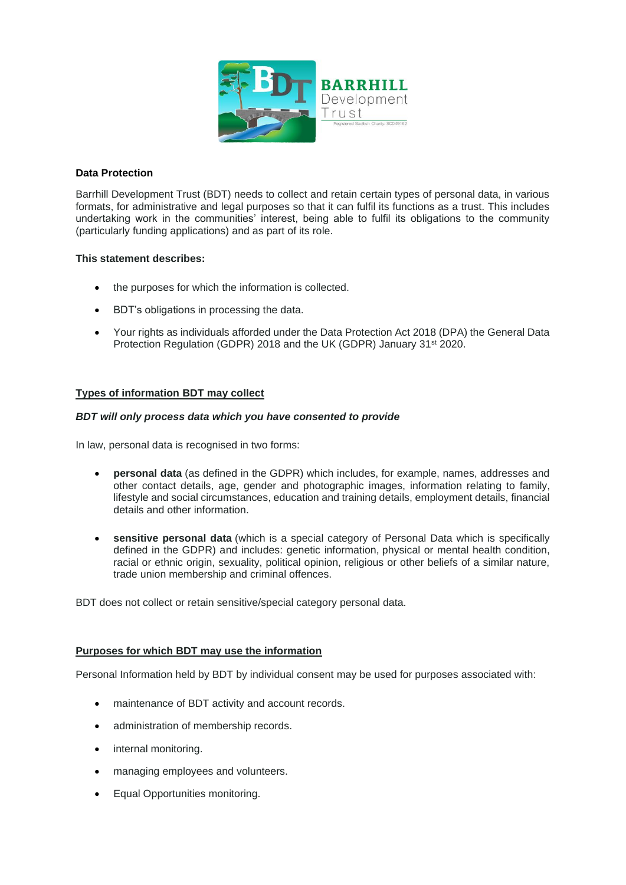

## **Data Protection**

Barrhill Development Trust (BDT) needs to collect and retain certain types of personal data, in various formats, for administrative and legal purposes so that it can fulfil its functions as a trust. This includes undertaking work in the communities' interest, being able to fulfil its obligations to the community (particularly funding applications) and as part of its role.

# **This statement describes:**

- the purposes for which the information is collected.
- BDT's obligations in processing the data.
- Your rights as individuals afforded under the Data Protection Act 2018 (DPA) the General Data Protection Regulation (GDPR) 2018 and the UK (GDPR) January 31<sup>st</sup> 2020.

# **Types of information BDT may collect**

## *BDT will only process data which you have consented to provide*

In law, personal data is recognised in two forms:

- **personal data** (as defined in the GDPR) which includes, for example, names, addresses and other contact details, age, gender and photographic images, information relating to family, lifestyle and social circumstances, education and training details, employment details, financial details and other information.
- **sensitive personal data** (which is a special category of Personal Data which is specifically defined in the GDPR) and includes: genetic information, physical or mental health condition, racial or ethnic origin, sexuality, political opinion, religious or other beliefs of a similar nature, trade union membership and criminal offences.

BDT does not collect or retain sensitive/special category personal data.

## **Purposes for which BDT may use the information**

Personal Information held by BDT by individual consent may be used for purposes associated with:

- maintenance of BDT activity and account records.
- administration of membership records.
- internal monitoring.
- managing employees and volunteers.
- Equal Opportunities monitoring.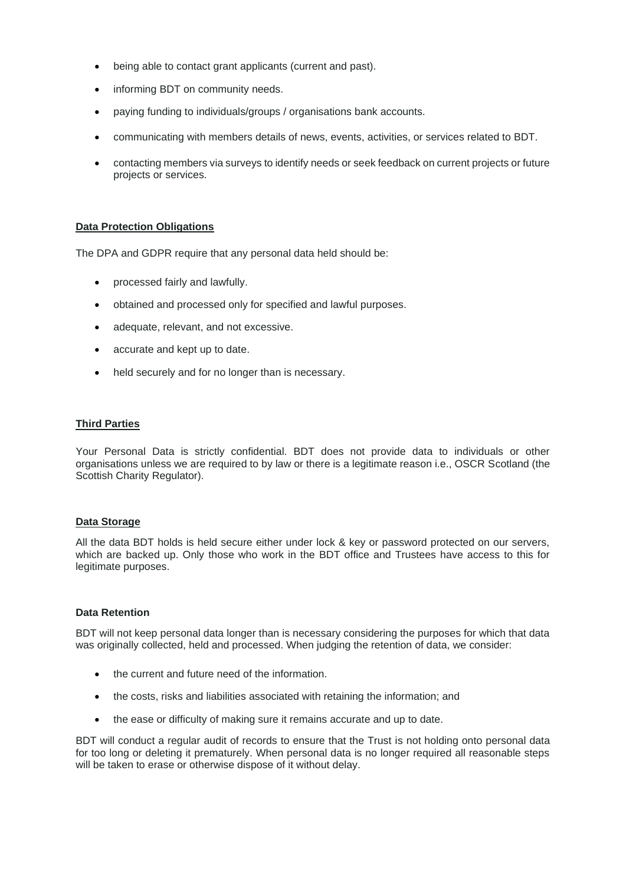- being able to contact grant applicants (current and past).
- informing BDT on community needs.
- paying funding to individuals/groups / organisations bank accounts.
- communicating with members details of news, events, activities, or services related to BDT.
- contacting members via surveys to identify needs or seek feedback on current projects or future projects or services.

### **Data Protection Obligations**

The DPA and GDPR require that any personal data held should be:

- processed fairly and lawfully.
- obtained and processed only for specified and lawful purposes.
- adequate, relevant, and not excessive.
- accurate and kept up to date.
- held securely and for no longer than is necessary.

### **Third Parties**

Your Personal Data is strictly confidential. BDT does not provide data to individuals or other organisations unless we are required to by law or there is a legitimate reason i.e., OSCR Scotland (the Scottish Charity Regulator).

### **Data Storage**

All the data BDT holds is held secure either under lock & key or password protected on our servers, which are backed up. Only those who work in the BDT office and Trustees have access to this for legitimate purposes.

### **Data Retention**

BDT will not keep personal data longer than is necessary considering the purposes for which that data was originally collected, held and processed. When judging the retention of data, we consider:

- the current and future need of the information.
- the costs, risks and liabilities associated with retaining the information; and
- the ease or difficulty of making sure it remains accurate and up to date.

BDT will conduct a regular audit of records to ensure that the Trust is not holding onto personal data for too long or deleting it prematurely. When personal data is no longer required all reasonable steps will be taken to erase or otherwise dispose of it without delay.